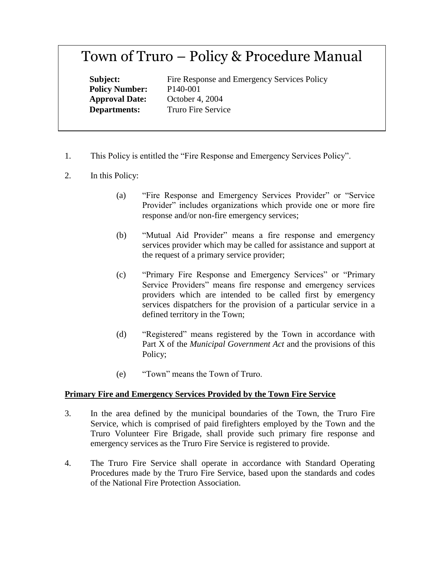# Town of Truro – Policy & Procedure Manual

**Policy Number:** P140-001

**Subject:** Fire Response and Emergency Services Policy **Approval Date:** October 4, 2004 **Departments:** Truro Fire Service

- 1. This Policy is entitled the "Fire Response and Emergency Services Policy".
- 2. In this Policy:
	- (a) "Fire Response and Emergency Services Provider" or "Service Provider" includes organizations which provide one or more fire response and/or non-fire emergency services;
	- (b) "Mutual Aid Provider" means a fire response and emergency services provider which may be called for assistance and support at the request of a primary service provider;
	- (c) "Primary Fire Response and Emergency Services" or "Primary Service Providers" means fire response and emergency services providers which are intended to be called first by emergency services dispatchers for the provision of a particular service in a defined territory in the Town;
	- (d) "Registered" means registered by the Town in accordance with Part X of the *Municipal Government Act* and the provisions of this Policy;
	- (e) "Town" means the Town of Truro.

# **Primary Fire and Emergency Services Provided by the Town Fire Service**

- 3. In the area defined by the municipal boundaries of the Town, the Truro Fire Service, which is comprised of paid firefighters employed by the Town and the Truro Volunteer Fire Brigade, shall provide such primary fire response and emergency services as the Truro Fire Service is registered to provide.
- 4. The Truro Fire Service shall operate in accordance with Standard Operating Procedures made by the Truro Fire Service, based upon the standards and codes of the National Fire Protection Association.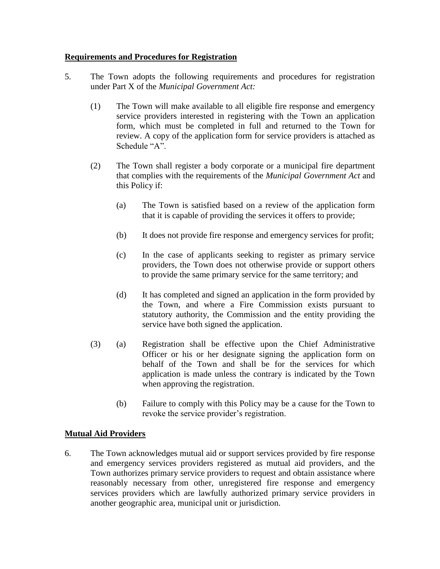## **Requirements and Procedures for Registration**

- 5. The Town adopts the following requirements and procedures for registration under Part X of the *Municipal Government Act:*
	- (1) The Town will make available to all eligible fire response and emergency service providers interested in registering with the Town an application form, which must be completed in full and returned to the Town for review. A copy of the application form for service providers is attached as Schedule "A".
	- (2) The Town shall register a body corporate or a municipal fire department that complies with the requirements of the *Municipal Government Act* and this Policy if:
		- (a) The Town is satisfied based on a review of the application form that it is capable of providing the services it offers to provide;
		- (b) It does not provide fire response and emergency services for profit;
		- (c) In the case of applicants seeking to register as primary service providers, the Town does not otherwise provide or support others to provide the same primary service for the same territory; and
		- (d) It has completed and signed an application in the form provided by the Town, and where a Fire Commission exists pursuant to statutory authority, the Commission and the entity providing the service have both signed the application.
	- (3) (a) Registration shall be effective upon the Chief Administrative Officer or his or her designate signing the application form on behalf of the Town and shall be for the services for which application is made unless the contrary is indicated by the Town when approving the registration.
		- (b) Failure to comply with this Policy may be a cause for the Town to revoke the service provider's registration.

# **Mutual Aid Providers**

6. The Town acknowledges mutual aid or support services provided by fire response and emergency services providers registered as mutual aid providers, and the Town authorizes primary service providers to request and obtain assistance where reasonably necessary from other, unregistered fire response and emergency services providers which are lawfully authorized primary service providers in another geographic area, municipal unit or jurisdiction.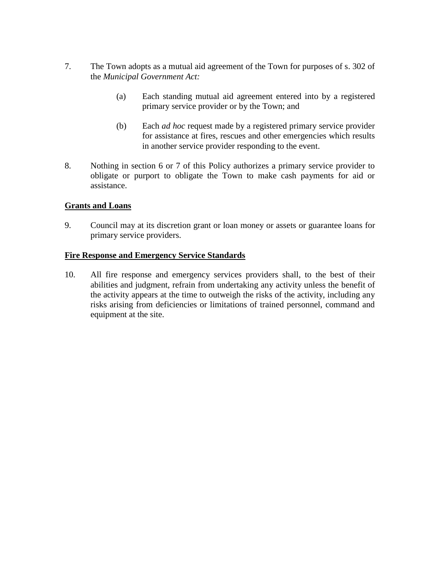- 7. The Town adopts as a mutual aid agreement of the Town for purposes of s. 302 of the *Municipal Government Act:*
	- (a) Each standing mutual aid agreement entered into by a registered primary service provider or by the Town; and
	- (b) Each *ad hoc* request made by a registered primary service provider for assistance at fires, rescues and other emergencies which results in another service provider responding to the event.
- 8. Nothing in section 6 or 7 of this Policy authorizes a primary service provider to obligate or purport to obligate the Town to make cash payments for aid or assistance.

## **Grants and Loans**

9. Council may at its discretion grant or loan money or assets or guarantee loans for primary service providers.

#### **Fire Response and Emergency Service Standards**

10. All fire response and emergency services providers shall, to the best of their abilities and judgment, refrain from undertaking any activity unless the benefit of the activity appears at the time to outweigh the risks of the activity, including any risks arising from deficiencies or limitations of trained personnel, command and equipment at the site.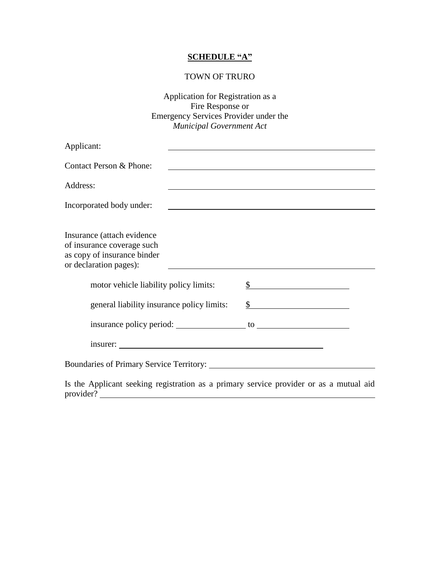## **SCHEDULE "A"**

#### TOWN OF TRURO

Application for Registration as a Fire Response or Emergency Services Provider under the *Municipal Government Act*

| Applicant:                                                                                                        |                                                                                                                                                                                                                               |
|-------------------------------------------------------------------------------------------------------------------|-------------------------------------------------------------------------------------------------------------------------------------------------------------------------------------------------------------------------------|
| Contact Person & Phone:                                                                                           |                                                                                                                                                                                                                               |
| Address:                                                                                                          | the control of the control of the control of the control of the control of the control of the control of the control of the control of the control of the control of the control of the control of the control of the control |
| Incorporated body under:                                                                                          |                                                                                                                                                                                                                               |
| Insurance (attach evidence<br>of insurance coverage such<br>as copy of insurance binder<br>or declaration pages): |                                                                                                                                                                                                                               |
| motor vehicle liability policy limits:                                                                            | $\frac{\text{S}}{\text{S}}$                                                                                                                                                                                                   |
| general liability insurance policy limits:                                                                        | $\frac{\text{S}}{\text{S}}$                                                                                                                                                                                                   |
|                                                                                                                   |                                                                                                                                                                                                                               |
| insurer:                                                                                                          |                                                                                                                                                                                                                               |
|                                                                                                                   |                                                                                                                                                                                                                               |
| Is the Applicant seeking registration as a primary service provider or as a mutual aid                            |                                                                                                                                                                                                                               |

Is the Applicant seeking registration as a primary service provider or as a mutual aid provider?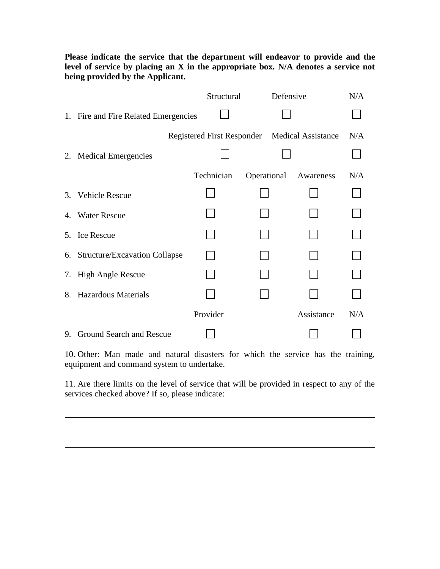**Please indicate the service that the department will endeavor to provide and the level of service by placing an X in the appropriate box. N/A denotes a service not being provided by the Applicant.**

|                                               | Structural |             | Defensive  | N/A |
|-----------------------------------------------|------------|-------------|------------|-----|
| 1. Fire and Fire Related Emergencies          |            |             |            |     |
| Registered First Responder Medical Assistance |            |             |            | N/A |
| 2. Medical Emergencies                        |            |             |            |     |
|                                               | Technician | Operational | Awareness  | N/A |
| 3. Vehicle Rescue                             |            |             |            |     |
| 4. Water Rescue                               |            |             |            |     |
| 5. Ice Rescue                                 |            |             |            |     |
| 6. Structure/Excavation Collapse              |            |             |            |     |
| 7. High Angle Rescue                          |            |             |            |     |
| 8. Hazardous Materials                        |            |             |            |     |
|                                               | Provider   |             | Assistance | N/A |
| 9. Ground Search and Rescue                   |            |             |            |     |

10. Other: Man made and natural disasters for which the service has the training, equipment and command system to undertake.

11. Are there limits on the level of service that will be provided in respect to any of the services checked above? If so, please indicate: